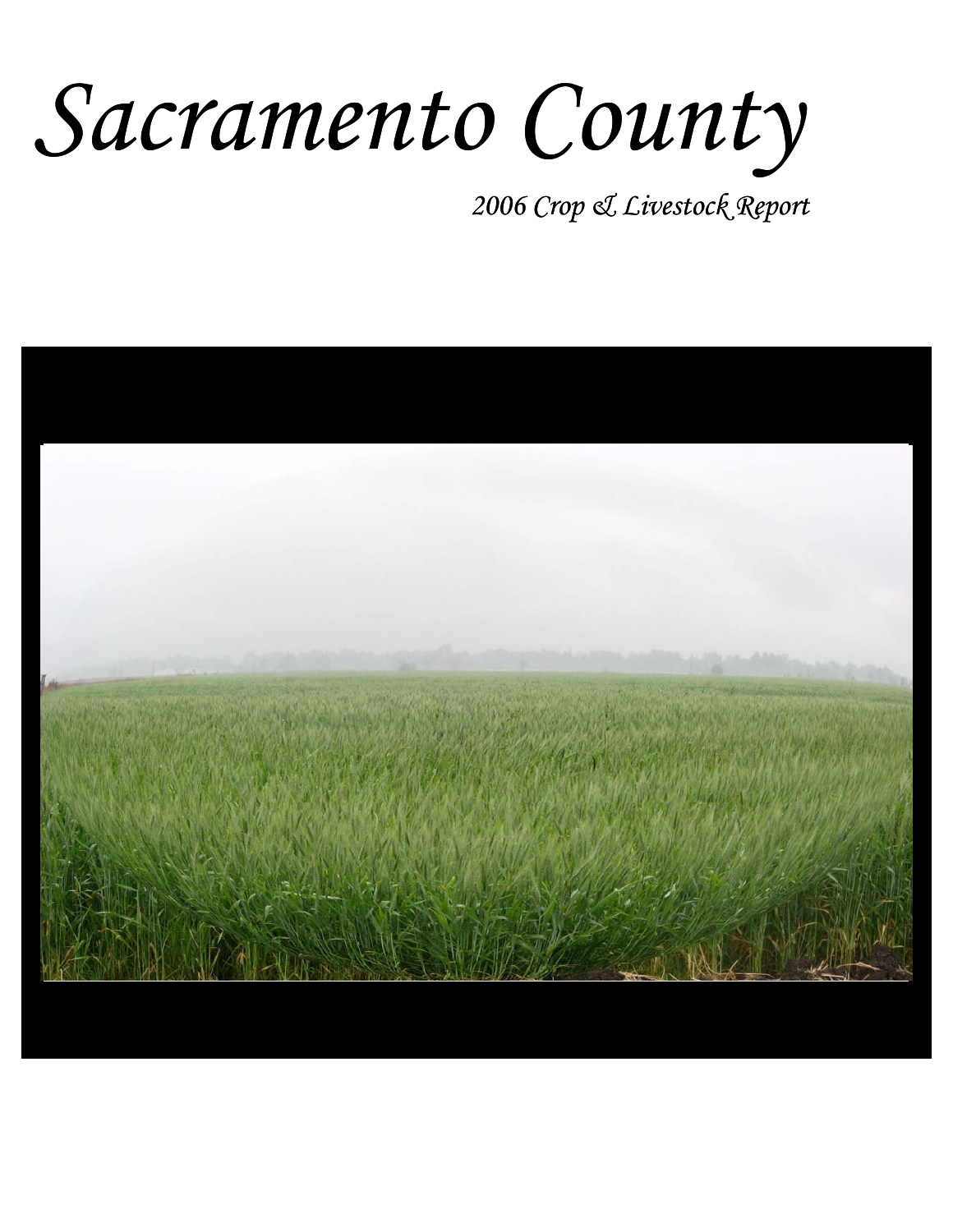# *Sacramento County*

*2006 Crop & Livestock Report*

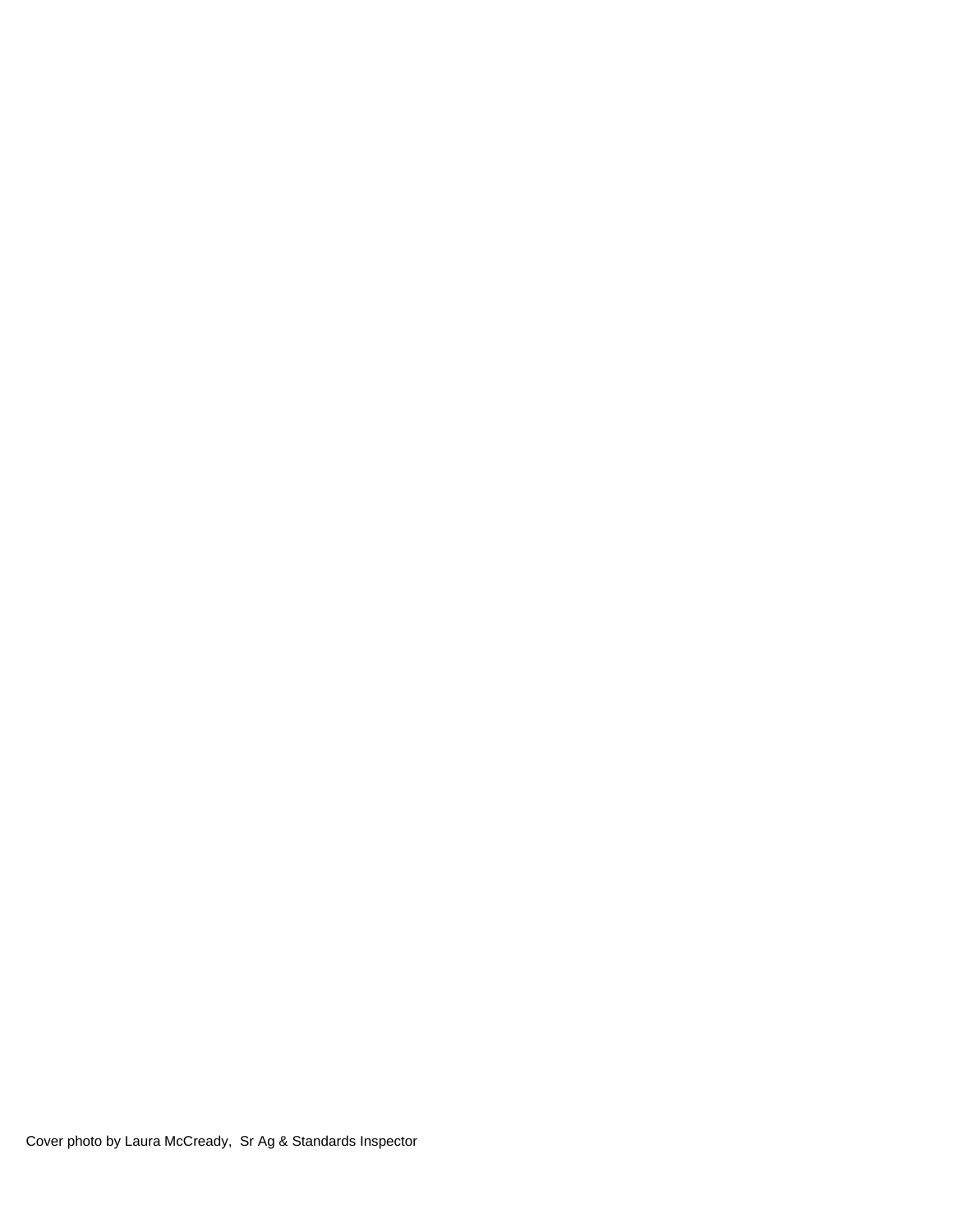Cover photo by Laura McCready, Sr Ag & Standards Inspector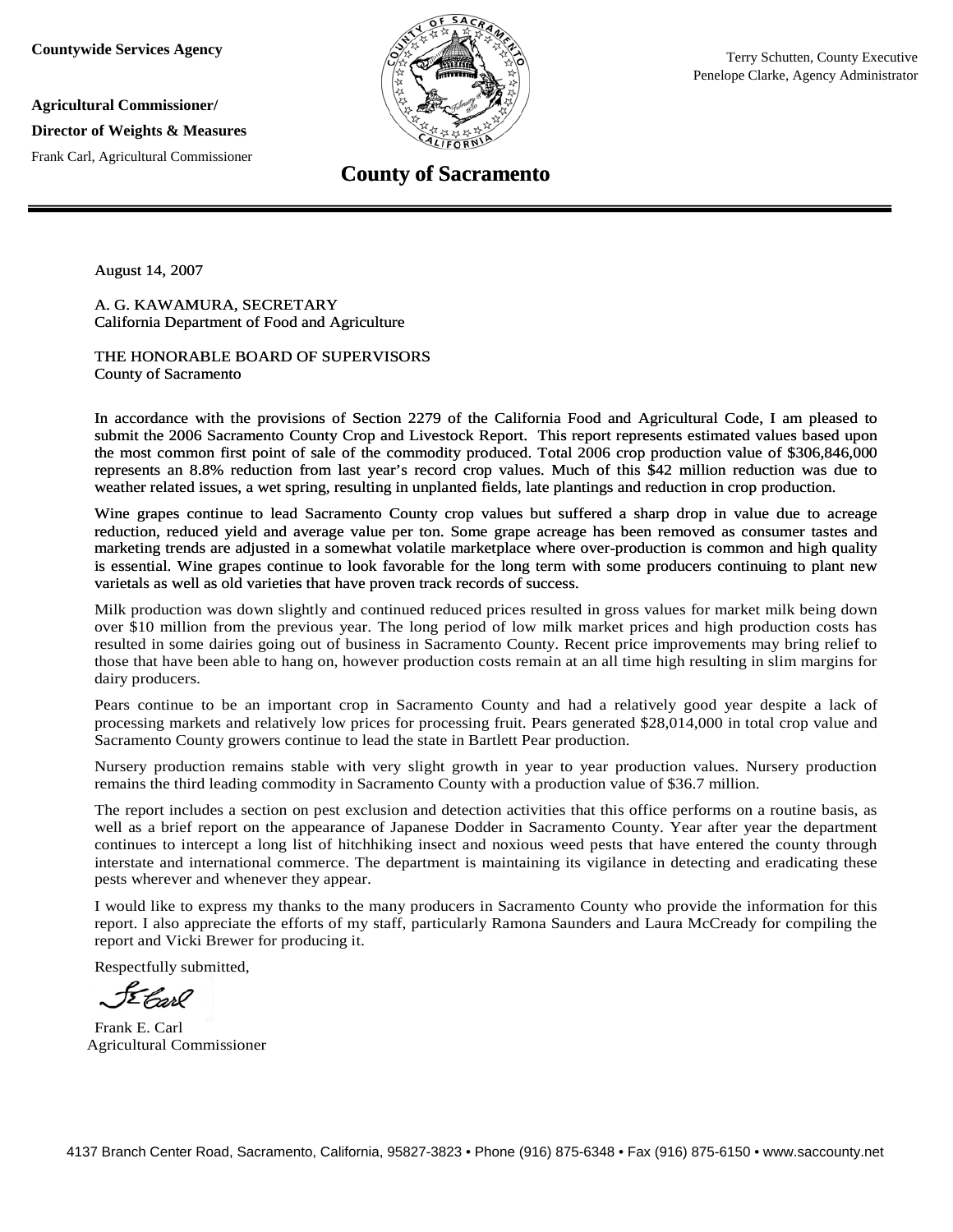**Countywide Services Agency**

**Agricultural Commissioner/** 

**Director of Weights & Measures**

Frank Carl, Agricultural Commissioner



**County of Sacramento**

August 14, 2007

A. G. KAWAMURA, SECRETARY California Department of Food and Agriculture

THE HONORABLE BOARD OF SUPERVISORS County of Sacramento

In accordance with the provisions of Section 2279 of the California Food and Agricultural Code, I am pleased to submit the 2006 Sacramento County Crop and Livestock Report. This report represents estimated values based upon the most common first point of sale of the commodity produced. Total 2006 crop production value of \$306,846,000 represents an 8.8% reduction from last year's record crop values. Much of this \$42 million reduction was due to weather related issues, a wet spring, resulting in unplanted fields, late plantings and reduction in crop production.

Wine grapes continue to lead Sacramento County crop values but suffered a sharp drop in value due to acreage reduction, reduced yield and average value per ton. Some grape acreage has been removed as consumer tastes and marketing trends are adjusted in a somewhat volatile marketplace where over-production is common and high quality is essential. Wine grapes continue to look favorable for the long term with some producers continuing to plant new varietals as well as old varieties that have proven track records of success.

Milk production was down slightly and continued reduced prices resulted in gross values for market milk being down over \$10 million from the previous year. The long period of low milk market prices and high production costs has resulted in some dairies going out of business in Sacramento County. Recent price improvements may bring relief to those that have been able to hang on, however production costs remain at an all time high resulting in slim margins for dairy producers.

Pears continue to be an important crop in Sacramento County and had a relatively good year despite a lack of processing markets and relatively low prices for processing fruit. Pears generated \$28,014,000 in total crop value and Sacramento County growers continue to lead the state in Bartlett Pear production.

Nursery production remains stable with very slight growth in year to year production values. Nursery production remains the third leading commodity in Sacramento County with a production value of \$36.7 million.

The report includes a section on pest exclusion and detection activities that this office performs on a routine basis, as well as a brief report on the appearance of Japanese Dodder in Sacramento County. Year after year the department continues to intercept a long list of hitchhiking insect and noxious weed pests that have entered the county through interstate and international commerce. The department is maintaining its vigilance in detecting and eradicating these pests wherever and whenever they appear.

I would like to express my thanks to the many producers in Sacramento County who provide the information for this report. I also appreciate the efforts of my staff, particularly Ramona Saunders and Laura McCready for compiling the report and Vicki Brewer for producing it.

Respectfully submitted,

Ebord

Frank E. Carl Agricultural Commissioner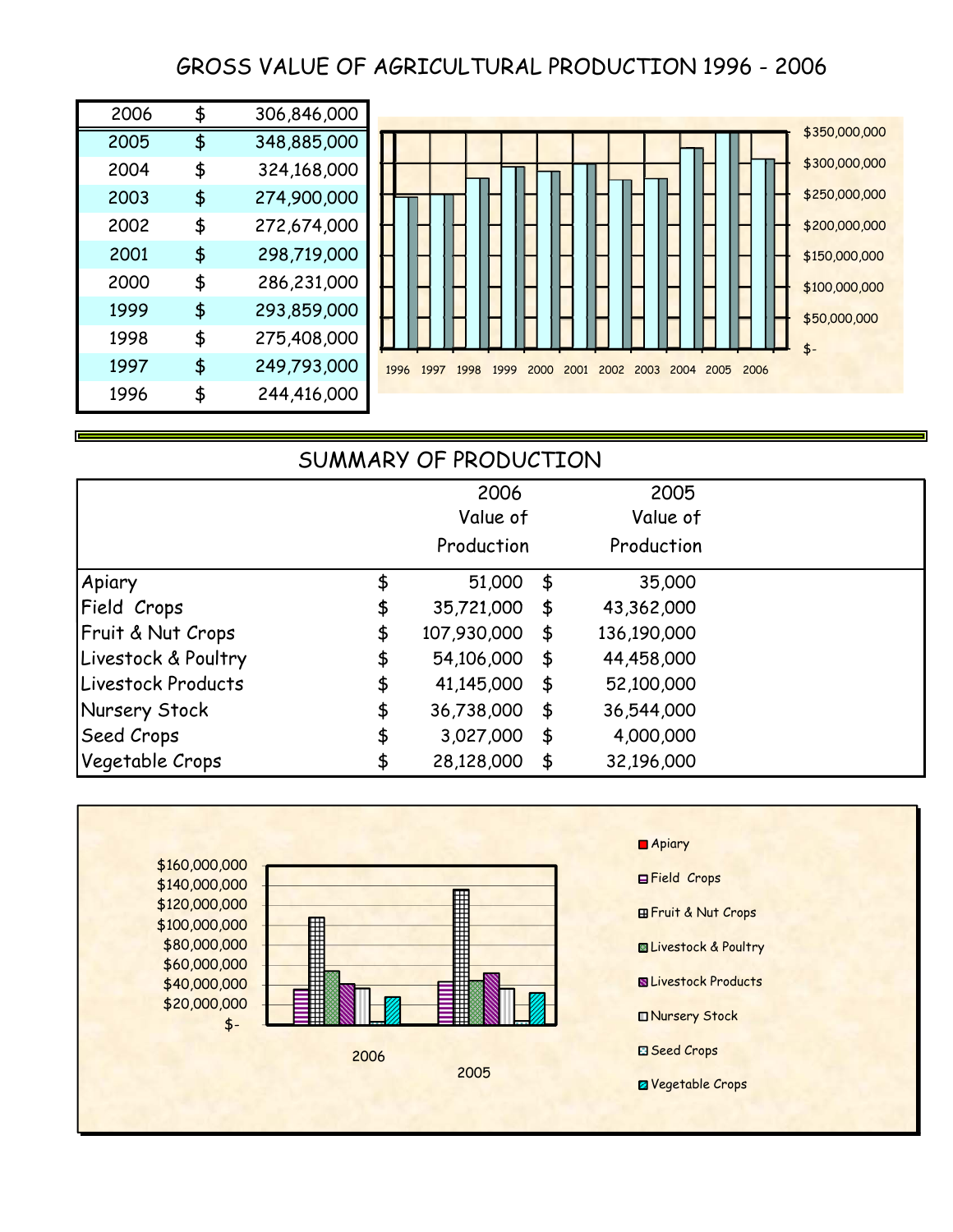# GROSS VALUE OF AGRICULTURAL PRODUCTION 1996 - 2006

| 2006 | \$<br>306,846,000 |
|------|-------------------|
| 2005 | \$<br>348,885,000 |
| 2004 | \$<br>324,168,000 |
| 2003 | \$<br>274,900,000 |
| 2002 | \$<br>272,674,000 |
| 2001 | \$<br>298,719,000 |
| 2000 | \$<br>286,231,000 |
| 1999 | \$<br>293,859,000 |
| 1998 | \$<br>275,408,000 |
| 1997 | \$<br>249,793,000 |
| 1996 | \$<br>244,416,000 |



## SUMMARY OF PRODUCTION

|                     | 2006              | 2005              |  |
|---------------------|-------------------|-------------------|--|
|                     | Value of          | Value of          |  |
|                     | Production        | Production        |  |
| Apiary              | \$<br>51,000      | \$<br>35,000      |  |
| Field Crops         | \$<br>35,721,000  | \$<br>43,362,000  |  |
| Fruit & Nut Crops   | \$<br>107,930,000 | \$<br>136,190,000 |  |
| Livestock & Poultry | \$<br>54,106,000  | \$<br>44,458,000  |  |
| Livestock Products  | \$<br>41,145,000  | \$<br>52,100,000  |  |
| Nursery Stock       | \$<br>36,738,000  | \$<br>36,544,000  |  |
| <b>Seed Crops</b>   | \$<br>3,027,000   | \$<br>4,000,000   |  |
| Vegetable Crops     | \$<br>28,128,000  | \$<br>32,196,000  |  |

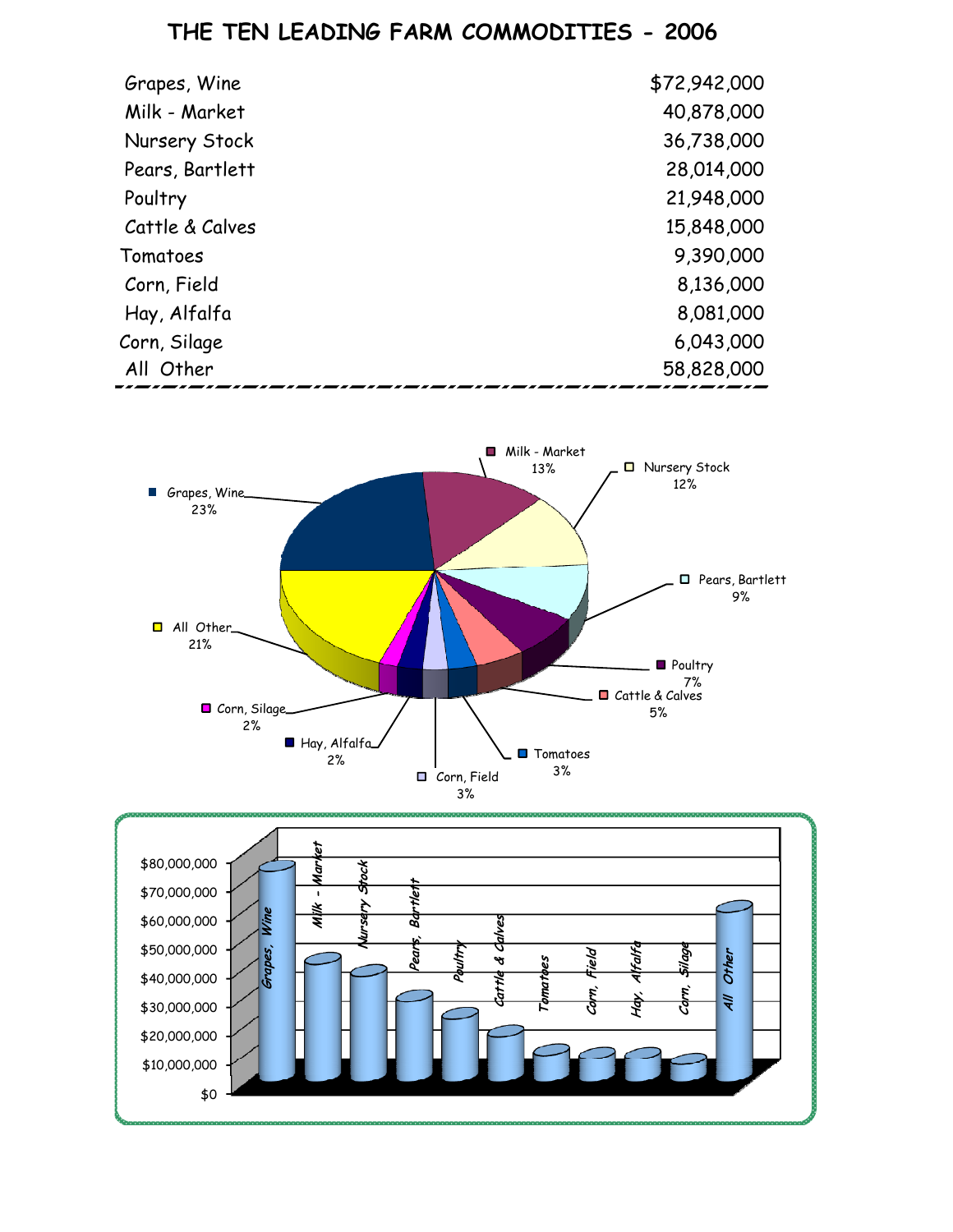# **THE TEN LEADING FARM COMMODITIES - 2006**

| Grapes, Wine    | \$72,942,000 |
|-----------------|--------------|
| Milk - Market   | 40,878,000   |
| Nursery Stock   | 36,738,000   |
| Pears, Bartlett | 28,014,000   |
| Poultry         | 21,948,000   |
| Cattle & Calves | 15,848,000   |
| Tomatoes        | 9,390,000    |
| Corn, Field     | 8,136,000    |
| Hay, Alfalfa    | 8,081,000    |
| Corn, Silage    | 6,043,000    |
| All Other       | 58,828,000   |



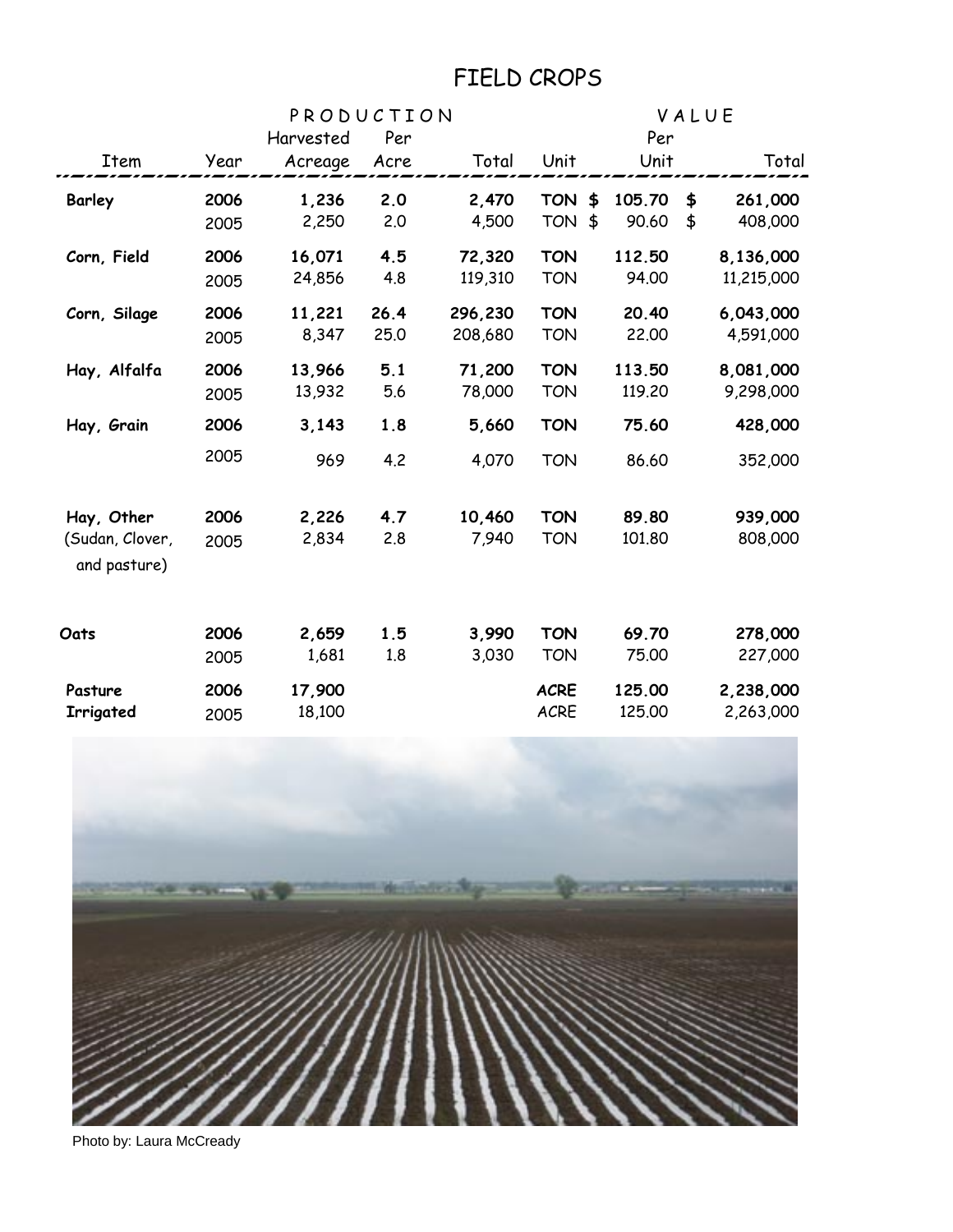# FIELD CROPS

|                 |      | PRODUCTION | VALUE |         |                  |        |    |            |
|-----------------|------|------------|-------|---------|------------------|--------|----|------------|
|                 |      | Harvested  | Per   |         |                  | Per    |    |            |
| Item            | Year | Acreage    | Acre  | Total   | Unit             | Unit   |    | Total      |
| <b>Barley</b>   | 2006 | 1,236      | 2.0   | 2,470   | <b>TON</b><br>\$ | 105.70 | \$ | 261,000    |
|                 | 2005 | 2,250      | 2.0   | 4,500   | TON \$           | 90.60  | \$ | 408,000    |
| Corn, Field     | 2006 | 16,071     | 4.5   | 72,320  | <b>TON</b>       | 112.50 |    | 8,136,000  |
|                 | 2005 | 24,856     | 4.8   | 119,310 | <b>TON</b>       | 94.00  |    | 11,215,000 |
| Corn, Silage    | 2006 | 11,221     | 26.4  | 296,230 | <b>TON</b>       | 20.40  |    | 6,043,000  |
|                 | 2005 | 8,347      | 25.0  | 208,680 | <b>TON</b>       | 22.00  |    | 4,591,000  |
| Hay, Alfalfa    | 2006 | 13,966     | 5.1   | 71,200  | <b>TON</b>       | 113.50 |    | 8,081,000  |
|                 | 2005 | 13,932     | 5.6   | 78,000  | <b>TON</b>       | 119.20 |    | 9,298,000  |
| Hay, Grain      | 2006 | 3,143      | 1.8   | 5,660   | <b>TON</b>       | 75.60  |    | 428,000    |
|                 | 2005 | 969        | 4.2   | 4,070   | <b>TON</b>       | 86.60  |    | 352,000    |
| Hay, Other      | 2006 | 2,226      | 4.7   | 10,460  | <b>TON</b>       | 89.80  |    | 939,000    |
| (Sudan, Clover, | 2005 | 2,834      | 2.8   | 7,940   | <b>TON</b>       | 101.80 |    | 808,000    |
| and pasture)    |      |            |       |         |                  |        |    |            |
| Oats            | 2006 | 2,659      | 1.5   | 3,990   | <b>TON</b>       | 69.70  |    | 278,000    |
|                 | 2005 | 1,681      | 1.8   | 3,030   | <b>TON</b>       | 75.00  |    | 227,000    |
| Pasture         | 2006 | 17,900     |       |         | <b>ACRE</b>      | 125.00 |    | 2,238,000  |
| Irrigated       | 2005 | 18,100     |       |         | <b>ACRE</b>      | 125.00 |    | 2,263,000  |



Photo by: Laura McCready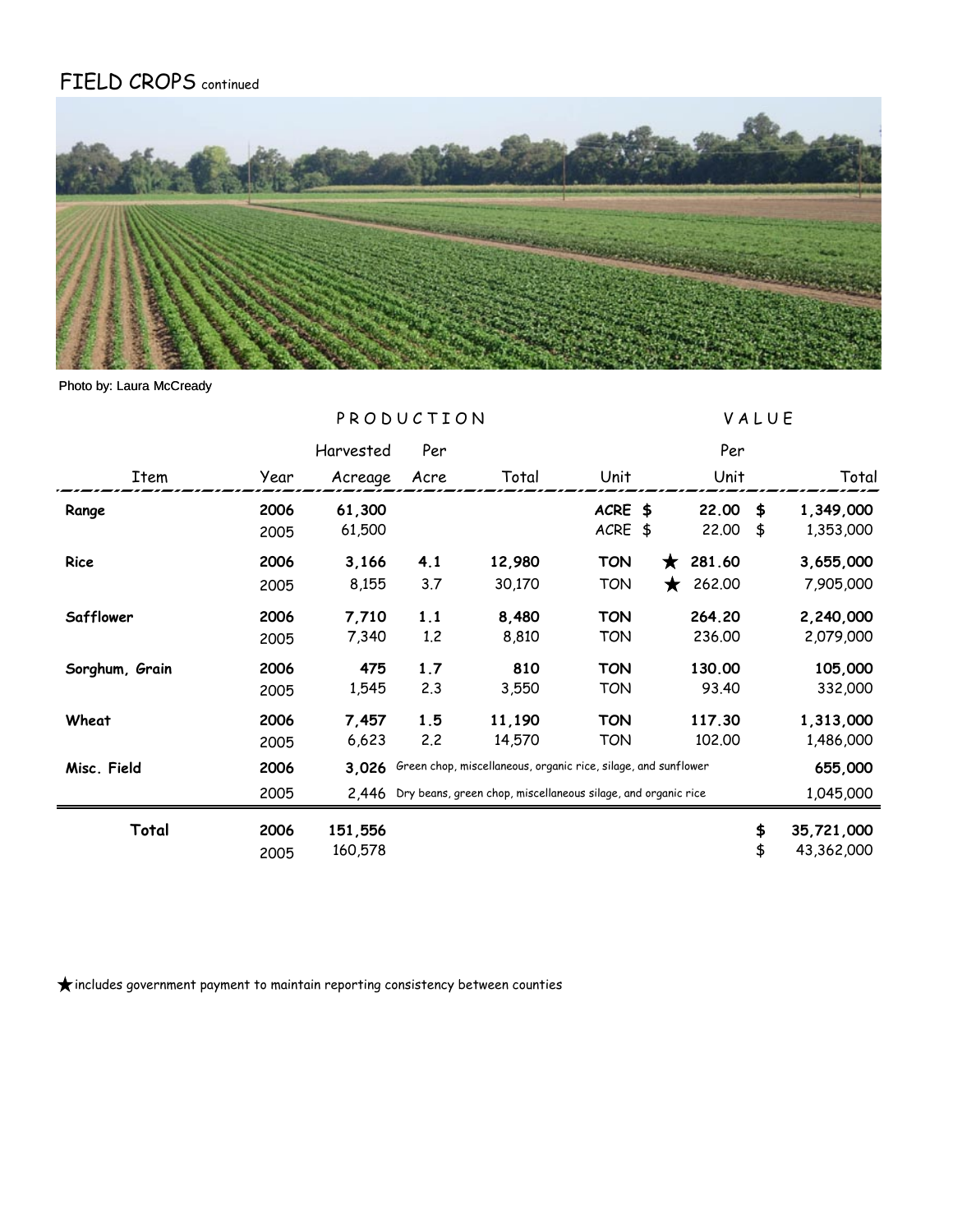# FIELD CROPS continued



#### Photo by: Laura McCready

|                |      | PRODUCTION |      |                                                                     |            |            | VALUE  |    |            |  |
|----------------|------|------------|------|---------------------------------------------------------------------|------------|------------|--------|----|------------|--|
|                |      | Harvested  | Per  |                                                                     |            |            | Per    |    |            |  |
| Item           | Year | Acreage    | Acre | Total                                                               | Unit       |            | Unit   |    | Total      |  |
| Range          | 2006 | 61,300     |      |                                                                     | ACRE \$    |            | 22.00  | \$ | 1,349,000  |  |
|                | 2005 | 61,500     |      |                                                                     | ACRE \$    |            | 22.00  | \$ | 1,353,000  |  |
| Rice           | 2006 | 3,166      | 4.1  | 12,980                                                              | <b>TON</b> | $\bigstar$ | 281.60 |    | 3,655,000  |  |
|                | 2005 | 8,155      | 3.7  | 30,170                                                              | <b>TON</b> | ★          | 262.00 |    | 7,905,000  |  |
| Safflower      | 2006 | 7,710      | 1.1  | 8,480                                                               | <b>TON</b> |            | 264.20 |    | 2,240,000  |  |
|                | 2005 | 7,340      | 1.2  | 8,810                                                               | TON        |            | 236.00 |    | 2,079,000  |  |
| Sorghum, Grain | 2006 | 475        | 1.7  | 810                                                                 | <b>TON</b> |            | 130.00 |    | 105,000    |  |
|                | 2005 | 1,545      | 2.3  | 3,550                                                               | <b>TON</b> |            | 93.40  |    | 332,000    |  |
| Wheat          | 2006 | 7,457      | 1.5  | 11,190                                                              | TON        |            | 117.30 |    | 1,313,000  |  |
|                | 2005 | 6,623      | 2.2  | 14,570                                                              | <b>TON</b> |            | 102.00 |    | 1,486,000  |  |
| Misc. Field    | 2006 | 3.026      |      | Green chop, miscellaneous, organic rice, silage, and sunflower      |            |            |        |    | 655,000    |  |
|                | 2005 |            |      | 2.446 Dry beans, green chop, miscellaneous silage, and organic rice |            |            |        |    | 1,045,000  |  |
| Total          | 2006 | 151,556    |      |                                                                     |            |            |        | \$ | 35,721,000 |  |
|                | 2005 | 160,578    |      |                                                                     |            |            |        | \$ | 43,362,000 |  |

 $\bigstar$  includes government payment to maintain reporting consistency between counties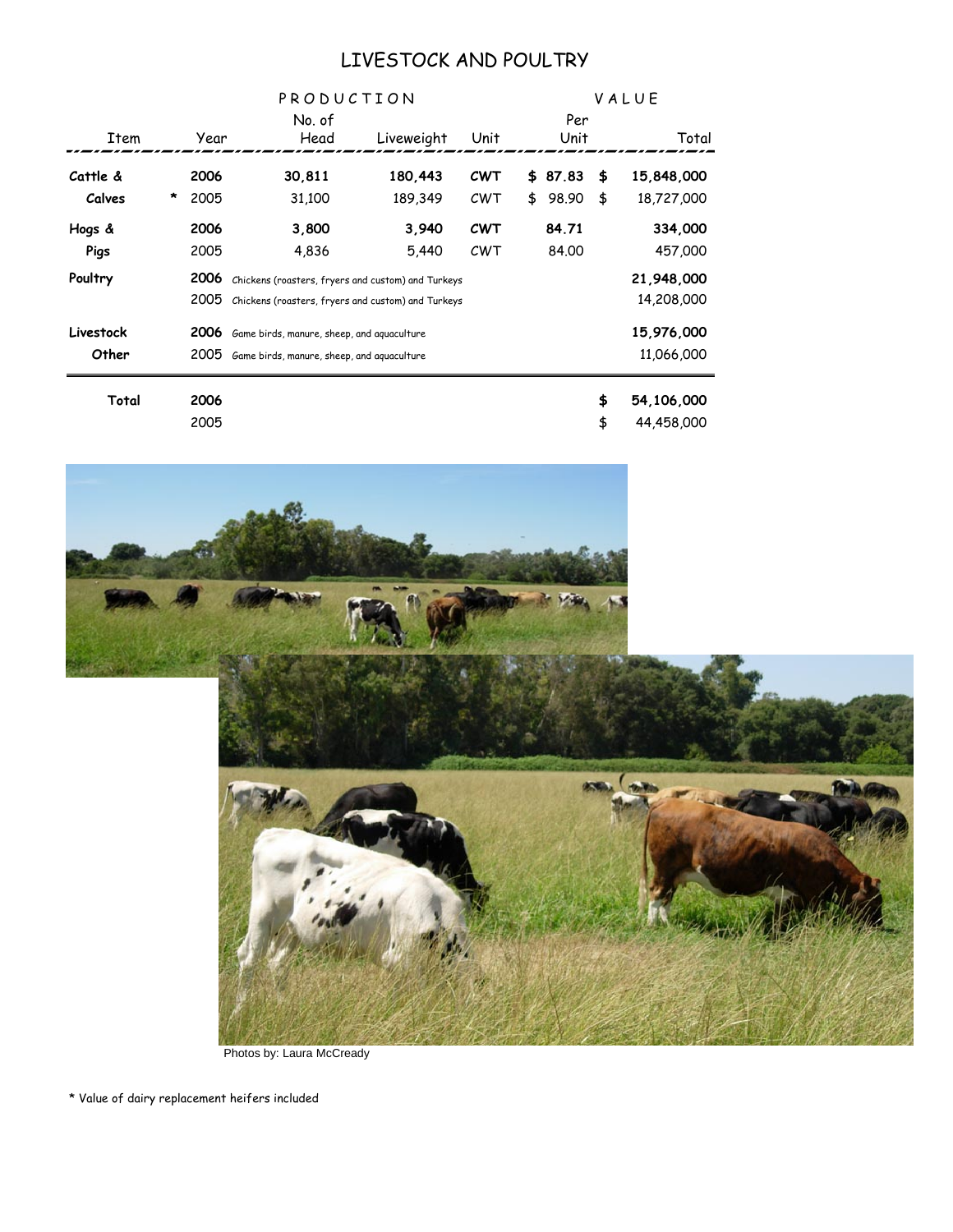#### LIVESTOCK AND POULTRY

|           |   |      |                                                    | PRODUCTION                                         |            |  |         | VALUE |            |  |  |  |
|-----------|---|------|----------------------------------------------------|----------------------------------------------------|------------|--|---------|-------|------------|--|--|--|
|           |   |      | No. of                                             |                                                    |            |  | Per     |       |            |  |  |  |
| Item      |   | Year | Head                                               | Liveweight                                         | Unit       |  | Unit    |       | Total      |  |  |  |
| Cattle &  |   | 2006 | 30,811                                             | 180,443                                            | <b>CWT</b> |  | \$87.83 | \$    | 15,848,000 |  |  |  |
| Calves    | * | 2005 | 31,100                                             | 189,349                                            | CWT        |  | \$98.90 | \$    | 18,727,000 |  |  |  |
| Hogs &    |   | 2006 | 3,800                                              | 3,940                                              | <b>CWT</b> |  | 84.71   |       | 334,000    |  |  |  |
| Pigs      |   | 2005 | 4,836                                              | 5,440                                              | CWT        |  | 84.00   |       | 457,000    |  |  |  |
| Poultry   |   | 2006 |                                                    | Chickens (roasters, fryers and custom) and Turkeys |            |  |         |       |            |  |  |  |
|           |   | 2005 | Chickens (roasters, fryers and custom) and Turkeys |                                                    |            |  |         |       | 14,208,000 |  |  |  |
| Livestock |   | 2006 | Game birds, manure, sheep, and aquaculture         |                                                    |            |  |         |       | 15,976,000 |  |  |  |
| Other     |   | 2005 | Game birds, manure, sheep, and aquaculture         |                                                    |            |  |         |       | 11,066,000 |  |  |  |
| Total     |   | 2006 |                                                    |                                                    |            |  |         | \$    | 54,106,000 |  |  |  |
|           |   | 2005 |                                                    |                                                    |            |  |         | \$    | 44,458,000 |  |  |  |
|           |   |      |                                                    |                                                    |            |  |         |       |            |  |  |  |



Photos by: Laura McCready

\* Value of dairy replacement heifers included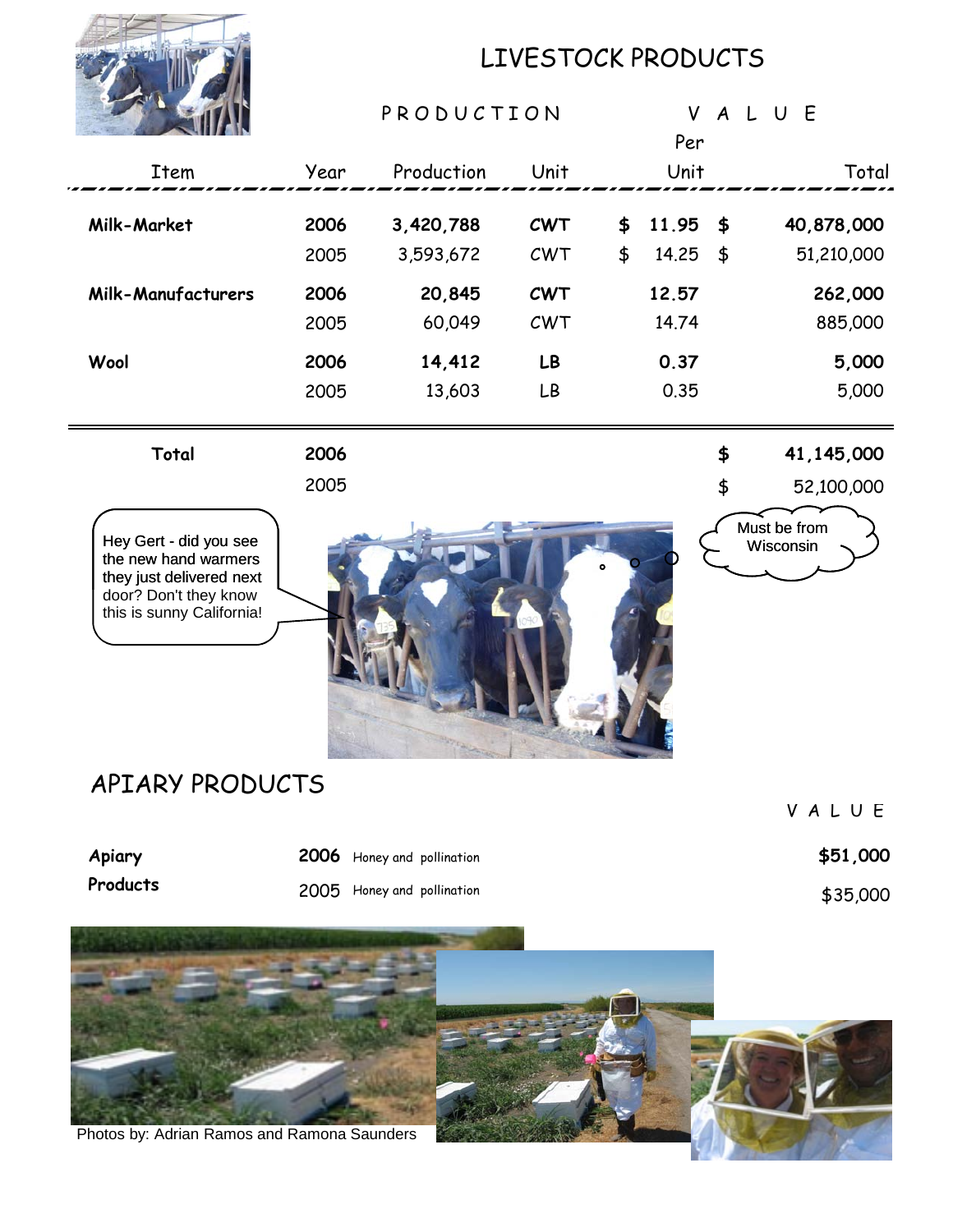

# LIVESTOCK PRODUCTS

|                                                                                                                                                     |              | PRODUCTION                                               |                   |          | Per            | VALUE    |                           |
|-----------------------------------------------------------------------------------------------------------------------------------------------------|--------------|----------------------------------------------------------|-------------------|----------|----------------|----------|---------------------------|
| Item                                                                                                                                                | Year         | Production                                               | Unit              |          | Unit           |          | Total                     |
| Milk-Market                                                                                                                                         | 2006<br>2005 | 3,420,788<br>3,593,672                                   | <b>CWT</b><br>CWT | \$<br>\$ | 11.95<br>14.25 | \$<br>\$ | 40,878,000<br>51,210,000  |
| <b>Milk-Manufacturers</b>                                                                                                                           | 2006<br>2005 | 20,845<br>60,049                                         | <b>CWT</b><br>CWT |          | 12.57<br>14.74 |          | 262,000<br>885,000        |
| Wool                                                                                                                                                | 2006<br>2005 | 14,412<br>13,603                                         | LB<br>LB          |          | 0.37<br>0.35   |          | 5,000<br>5,000            |
| Total                                                                                                                                               | 2006<br>2005 |                                                          |                   |          |                | \$<br>\$ | 41,145,000<br>52,100,000  |
| Hey Gert - did you see<br>the new hand warmers<br>they just delivered next<br>door? Don't they know<br>this is sunny California!<br>APIARY PRODUCTS |              |                                                          |                   |          |                |          | Must be from<br>Wisconsin |
|                                                                                                                                                     |              |                                                          |                   |          |                |          | VALUE                     |
| Apiary<br>Products                                                                                                                                  |              | 2006 Honey and pollination<br>2005 Honey and pollination |                   |          |                |          | \$51,000<br>\$35,000      |
| Photos by: Adrian Ramos and Ramona Saunders                                                                                                         |              |                                                          |                   |          |                |          |                           |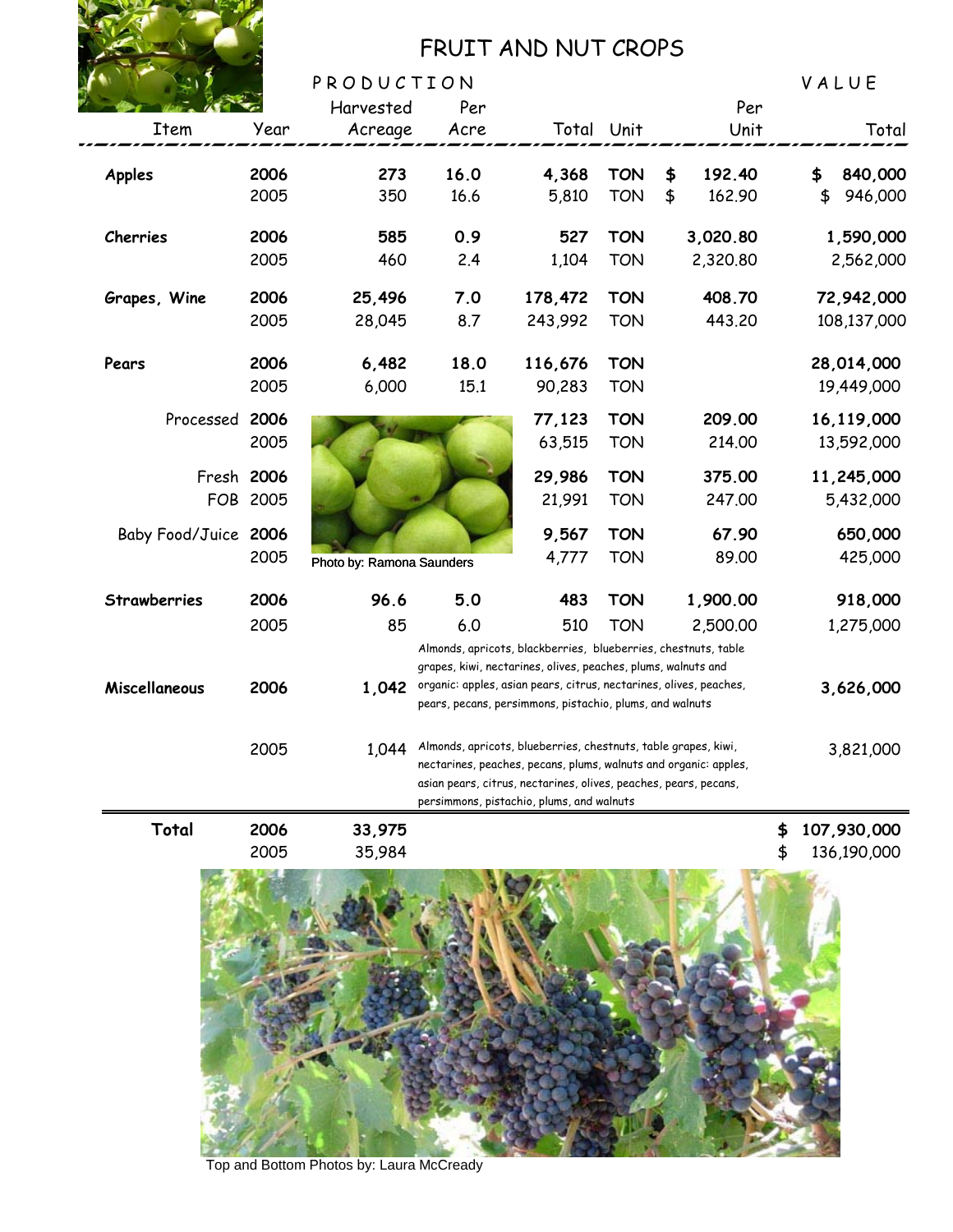

# FRUIT AND NUT CROPS

|                          |              | PRODUCTION                |                                                                                                                                                                                                                                                     |                                                                                                                                        |                          |                              |          | VALUE                          |
|--------------------------|--------------|---------------------------|-----------------------------------------------------------------------------------------------------------------------------------------------------------------------------------------------------------------------------------------------------|----------------------------------------------------------------------------------------------------------------------------------------|--------------------------|------------------------------|----------|--------------------------------|
|                          |              | Harvested                 | Per                                                                                                                                                                                                                                                 |                                                                                                                                        |                          | Per                          |          |                                |
| <b>Item</b>              | Year         | Acreage                   | Acre                                                                                                                                                                                                                                                |                                                                                                                                        | Total Unit               | Unit                         |          | Total                          |
| <b>Apples</b>            | 2006<br>2005 | 273<br>350                | 16.0<br>16.6                                                                                                                                                                                                                                        | 4,368<br>5,810                                                                                                                         | <b>TON</b><br><b>TON</b> | \$<br>192.40<br>\$<br>162.90 |          | 840,000<br>\$<br>\$<br>946,000 |
| Cherries                 | 2006<br>2005 | 585<br>460                | 0.9<br>2.4                                                                                                                                                                                                                                          | 527<br>1,104                                                                                                                           | <b>TON</b><br><b>TON</b> | 3,020.80<br>2,320.80         |          | 1,590,000<br>2,562,000         |
| Grapes, Wine             | 2006<br>2005 | 25,496<br>28,045          | 7.0<br>8.7                                                                                                                                                                                                                                          | 178,472<br>243,992                                                                                                                     | <b>TON</b><br><b>TON</b> | 408.70<br>443.20             |          | 72,942,000<br>108,137,000      |
| Pears                    | 2006<br>2005 | 6,482<br>6,000            | 18.0<br>15.1                                                                                                                                                                                                                                        | 116,676<br>90,283                                                                                                                      | <b>TON</b><br><b>TON</b> |                              |          | 28,014,000<br>19,449,000       |
| Processed                | 2006<br>2005 |                           |                                                                                                                                                                                                                                                     | 77,123<br>63,515                                                                                                                       | <b>TON</b><br><b>TON</b> | 209.00<br>214.00             |          | 16,119,000<br>13,592,000       |
| Fresh 2006<br><b>FOB</b> | 2005         |                           |                                                                                                                                                                                                                                                     | 29,986<br>21,991                                                                                                                       | <b>TON</b><br><b>TON</b> | 375.00<br>247.00             |          | 11,245,000<br>5,432,000        |
| Baby Food/Juice 2006     | 2005         | Photo by: Ramona Saunders |                                                                                                                                                                                                                                                     | 9,567<br>4,777                                                                                                                         | <b>TON</b><br><b>TON</b> | 67.90<br>89.00               |          | 650,000<br>425,000             |
| <b>Strawberries</b>      | 2006         | 96.6                      | 5.0                                                                                                                                                                                                                                                 | 483                                                                                                                                    | <b>TON</b>               | 1,900.00                     |          | 918,000                        |
|                          | 2005         | 85                        | 6.0                                                                                                                                                                                                                                                 | 510<br>Almonds, apricots, blackberries, blueberries, chestnuts, table<br>grapes, kiwi, nectarines, olives, peaches, plums, walnuts and | <b>TON</b>               | 2,500.00                     |          | 1,275,000                      |
| Miscellaneous            | 2006         | 1,042                     |                                                                                                                                                                                                                                                     | organic: apples, asian pears, citrus, nectarines, olives, peaches,<br>pears, pecans, persimmons, pistachio, plums, and walnuts         |                          |                              |          | 3,626,000                      |
|                          | 2005         | 1,044                     | Almonds, apricots, blueberries, chestnuts, table grapes, kiwi,<br>nectarines, peaches, pecans, plums, walnuts and organic: apples,<br>asian pears, citrus, nectarines, olives, peaches, pears, pecans,<br>persimmons, pistachio, plums, and walnuts |                                                                                                                                        | 3,821,000                |                              |          |                                |
| Total                    | 2006<br>2005 | 33,975<br>35,984          |                                                                                                                                                                                                                                                     |                                                                                                                                        |                          |                              | \$<br>\$ | 107,930,000<br>136,190,000     |



Top and Bottom Photos by: Laura McCready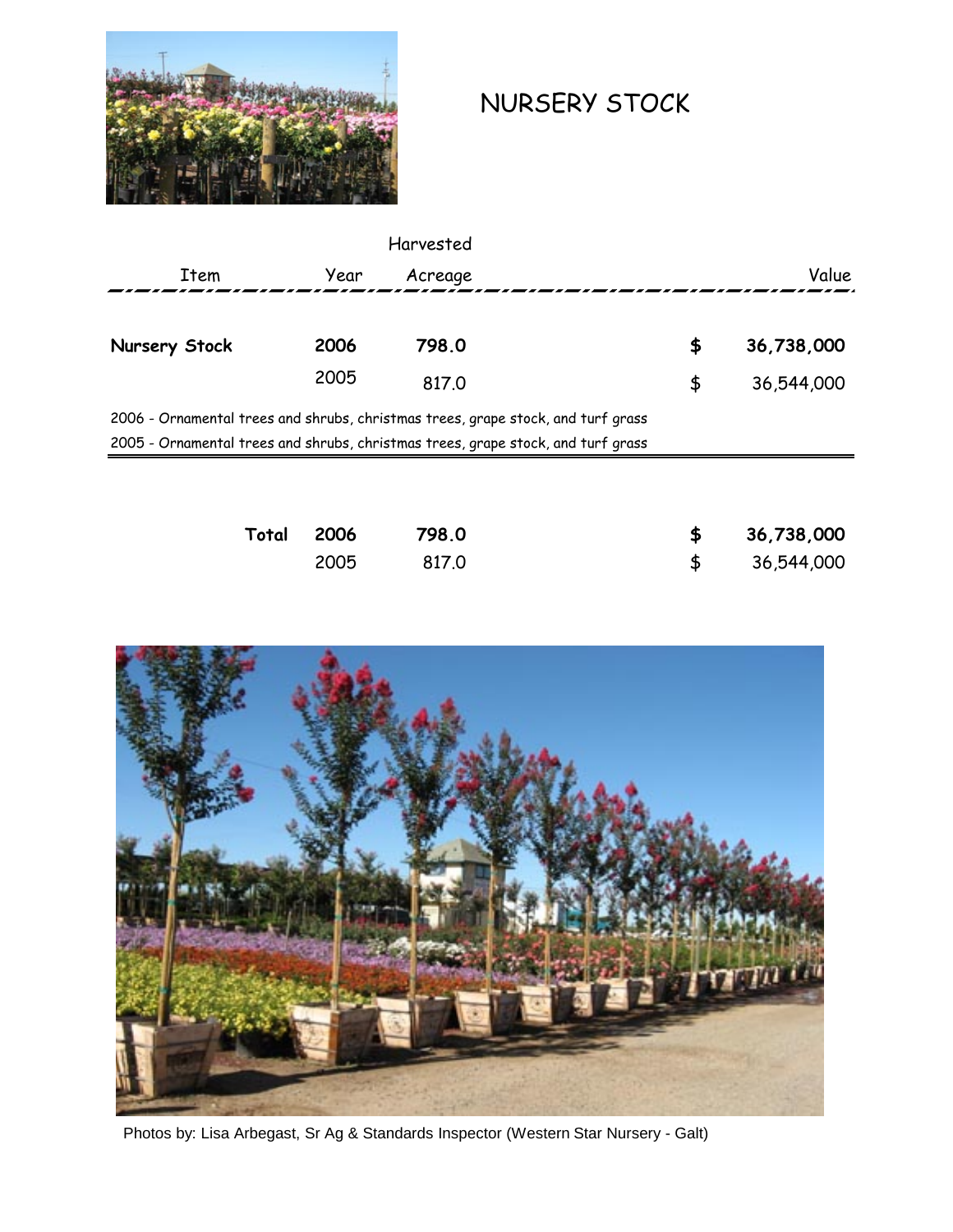

# NURSERY STOCK

|                                                                                  |      | Harvested |    |            |
|----------------------------------------------------------------------------------|------|-----------|----|------------|
| Item                                                                             | Year | Acreage   |    | Value      |
|                                                                                  |      |           |    |            |
| Nursery Stock                                                                    | 2006 | 798.0     | \$ | 36,738,000 |
|                                                                                  | 2005 | 817.0     | \$ | 36,544,000 |
| 2006 - Ornamental trees and shrubs, christmas trees, grape stock, and turf grass |      |           |    |            |
| 2005 - Ornamental trees and shrubs, christmas trees, grape stock, and turf grass |      |           |    |            |
|                                                                                  |      |           |    |            |
|                                                                                  |      |           |    |            |
|                                                                                  |      |           |    |            |

| Total 2006 | 798.0 | \$36,738,000 |
|------------|-------|--------------|
| 2005       | 817.0 | \$36,544,000 |



Photos by: Lisa Arbegast, Sr Ag & Standards Inspector (Western Star Nursery - Galt)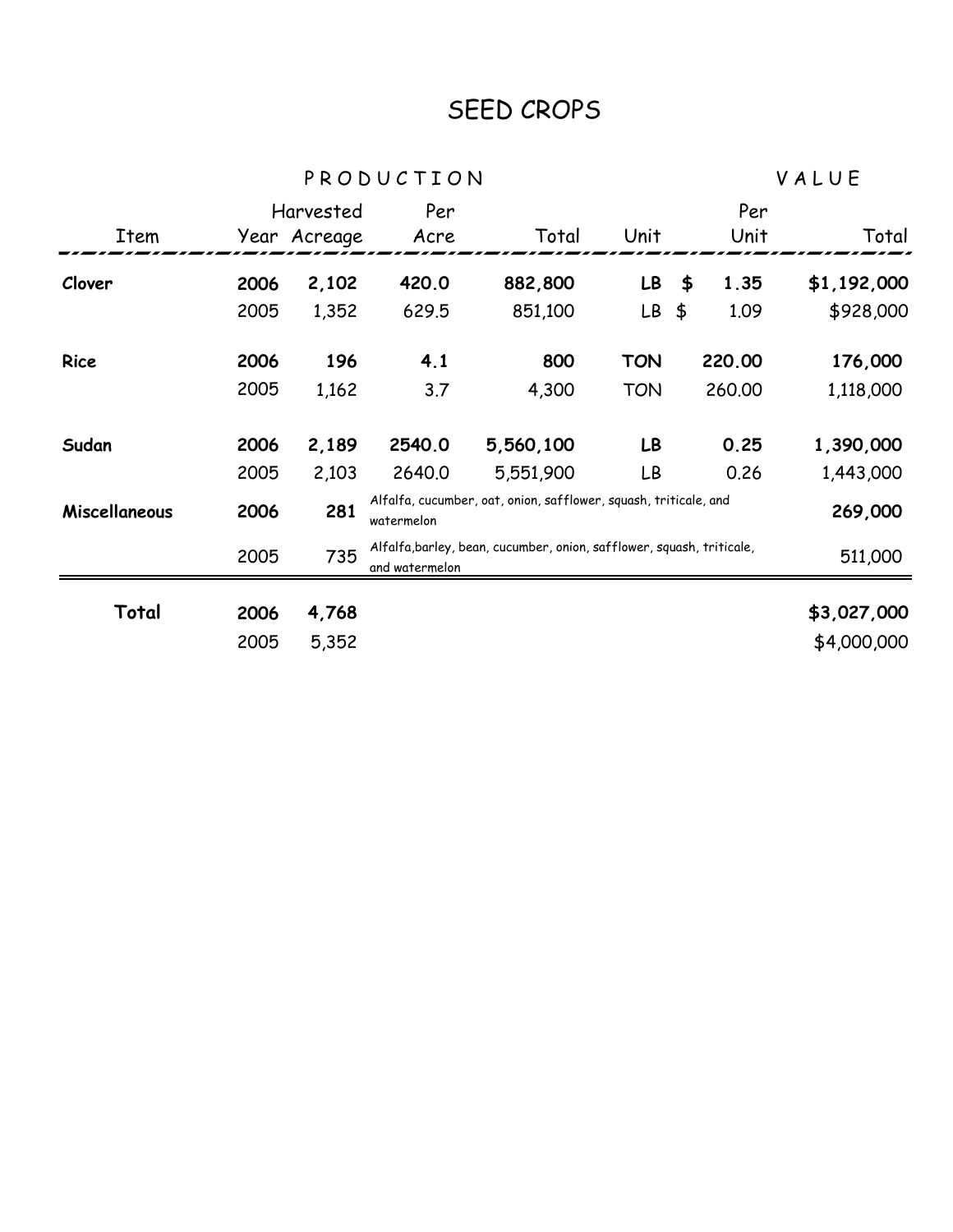# SEED CROPS

P R O D U C T I O N V A L U E

|               |      | Harvested    | Per            |                                                                       |            |               | Per    |             |
|---------------|------|--------------|----------------|-----------------------------------------------------------------------|------------|---------------|--------|-------------|
| Item          |      | Year Acreage | Acre           | Total                                                                 | Unit       |               | Unit   | Total       |
| Clover        | 2006 | 2,102        | 420.0          | 882,800                                                               | LB         | \$            | 1.35   | \$1,192,000 |
|               | 2005 | 1,352        | 629.5          | 851,100                                                               | LB         | $\frac{4}{5}$ | 1.09   | \$928,000   |
| Rice          | 2006 | 196          | 4.1            | 800                                                                   | <b>TON</b> |               | 220,00 | 176,000     |
|               | 2005 | 1,162        | 3.7            | 4,300                                                                 | <b>TON</b> |               | 260,00 | 1,118,000   |
| Sudan         | 2006 | 2,189        | 2540.0         | 5,560,100                                                             | LB         |               | 0.25   | 1,390,000   |
|               | 2005 | 2,103        | 2640.0         | 5,551,900                                                             | LB         |               | 0.26   | 1,443,000   |
| Miscellaneous | 2006 | 281          | watermelon     | Alfalfa, cucumber, oat, onion, safflower, squash, triticale, and      |            |               |        | 269,000     |
|               | 2005 | 735          | and watermelon | Alfalfa, barley, bean, cucumber, onion, safflower, squash, triticale, |            |               |        | 511,000     |
| Total         | 2006 | 4,768        |                |                                                                       |            |               |        | \$3,027,000 |
|               | 2005 | 5,352        |                |                                                                       |            |               |        | \$4,000,000 |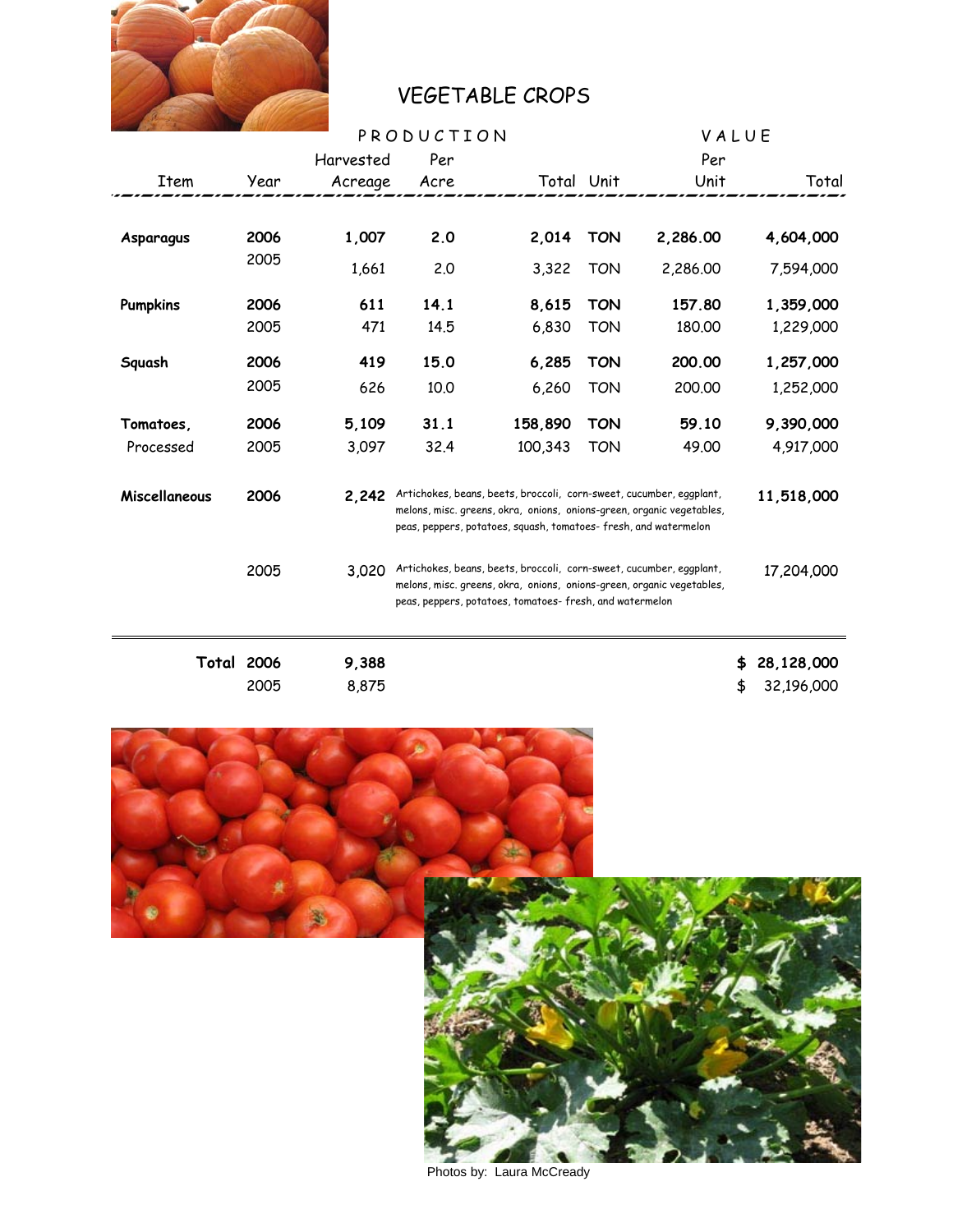

# VEGETABLE CROPS

|                 |                   |           | PRODUCTION |                                                                                                                                                                                                                 |            |          | VALUE |            |  |
|-----------------|-------------------|-----------|------------|-----------------------------------------------------------------------------------------------------------------------------------------------------------------------------------------------------------------|------------|----------|-------|------------|--|
|                 |                   | Harvested | Per        |                                                                                                                                                                                                                 |            | Per      |       |            |  |
| Item            | Year              | Acreage   | Acre       | Total Unit                                                                                                                                                                                                      |            | Unit     |       | Total      |  |
|                 |                   |           |            |                                                                                                                                                                                                                 |            |          |       |            |  |
| Asparagus       | 2006              | 1,007     | 2.0        | 2,014                                                                                                                                                                                                           | <b>TON</b> | 2,286.00 |       | 4,604,000  |  |
|                 | 2005              | 1,661     | 2.0        | 3,322                                                                                                                                                                                                           | <b>TON</b> | 2,286.00 |       | 7,594,000  |  |
| <b>Pumpkins</b> | 2006              | 611       | 14.1       | 8,615                                                                                                                                                                                                           | <b>TON</b> | 157.80   |       | 1,359,000  |  |
|                 | 2005              | 471       | 14.5       | 6,830                                                                                                                                                                                                           | <b>TON</b> | 180.00   |       | 1,229,000  |  |
| Squash          | 2006              | 419       | 15.0       | 6,285                                                                                                                                                                                                           | <b>TON</b> | 200.00   |       | 1,257,000  |  |
|                 | 2005              | 626       | 10.0       | 6,260                                                                                                                                                                                                           | <b>TON</b> | 200.00   |       | 1,252,000  |  |
| Tomatoes,       | 2006              | 5,109     | 31.1       | 158,890                                                                                                                                                                                                         | <b>TON</b> | 59.10    |       | 9,390,000  |  |
| Processed       | 2005              | 3,097     | 32.4       | 100,343                                                                                                                                                                                                         | <b>TON</b> | 49.00    |       | 4,917,000  |  |
| Miscellaneous   | 2006              | 2,242     |            | Artichokes, beans, beets, broccoli, corn-sweet, cucumber, eggplant,<br>melons, misc. greens, okra, onions, onions-green, organic vegetables,<br>peas, peppers, potatoes, squash, tomatoes-fresh, and watermelon |            |          |       | 11,518,000 |  |
|                 | 2005              | 3,020     |            | Artichokes, beans, beets, broccoli, corn-sweet, cucumber, eggplant,<br>melons, misc. greens, okra, onions, onions-green, organic vegetables,<br>peas, peppers, potatoes, tomatoes-fresh, and watermelon         |            |          |       |            |  |
|                 | <b>Total 2006</b> | 9,388     |            |                                                                                                                                                                                                                 |            |          | \$    | 28,128,000 |  |
|                 | 2005              | 8,875     |            |                                                                                                                                                                                                                 |            |          | \$    | 32,196,000 |  |



Photos by: Laura McCready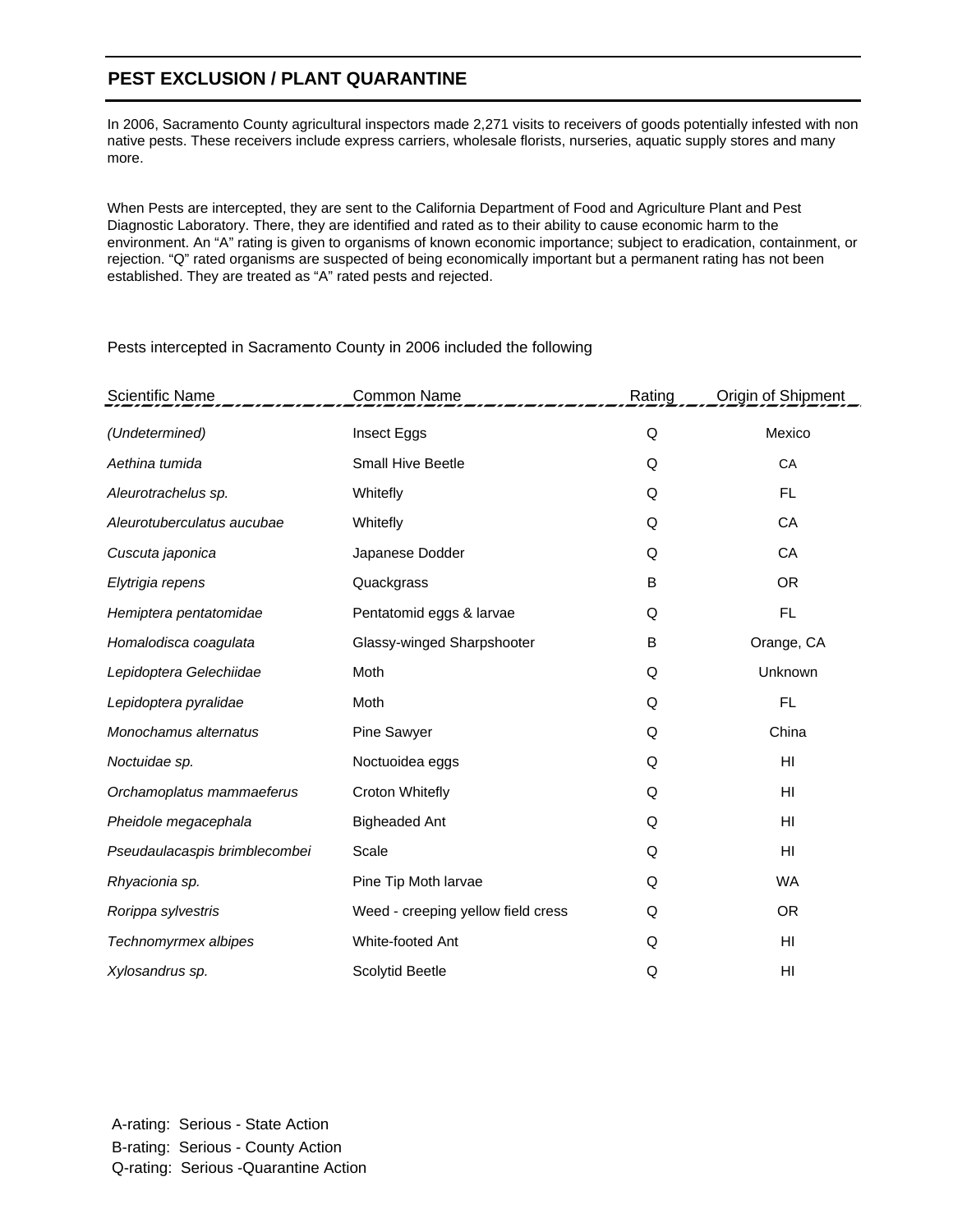#### **PEST EXCLUSION / PLANT QUARANTINE**

In 2006, Sacramento County agricultural inspectors made 2,271 visits to receivers of goods potentially infested with non native pests. These receivers include express carriers, wholesale florists, nurseries, aquatic supply stores and many more.

When Pests are intercepted, they are sent to the California Department of Food and Agriculture Plant and Pest Diagnostic Laboratory. There, they are identified and rated as to their ability to cause economic harm to the environment. An "A" rating is given to organisms of known economic importance; subject to eradication, containment, or rejection. "Q" rated organisms are suspected of being economically important but a permanent rating has not been established. They are treated as "A" rated pests and rejected.

| <b>Scientific Name</b>        | <b>Common Name</b>                 | Rating | Origin of Shipment |
|-------------------------------|------------------------------------|--------|--------------------|
| (Undetermined)                | Insect Eggs                        | Q      | Mexico             |
| Aethina tumida                | <b>Small Hive Beetle</b>           | Q      | CA                 |
| Aleurotrachelus sp.           | Whitefly                           | Q      | <b>FL</b>          |
| Aleurotuberculatus aucubae    | Whitefly                           | Q      | CA                 |
| Cuscuta japonica              | Japanese Dodder                    | Q      | CA                 |
| Elytrigia repens              | Quackgrass                         | B      | <b>OR</b>          |
| Hemiptera pentatomidae        | Pentatomid eggs & larvae           | Q      | <b>FL</b>          |
| Homalodisca coagulata         | Glassy-winged Sharpshooter         | B      | Orange, CA         |
| Lepidoptera Gelechiidae       | Moth                               | Q      | Unknown            |
| Lepidoptera pyralidae         | Moth                               | Q      | <b>FL</b>          |
| Monochamus alternatus         | Pine Sawyer                        | Q      | China              |
| Noctuidae sp.                 | Noctuoidea eggs                    | Q      | HI                 |
| Orchamoplatus mammaeferus     | Croton Whitefly                    | Q      | HI                 |
| Pheidole megacephala          | <b>Bigheaded Ant</b>               | Q      | HI                 |
| Pseudaulacaspis brimblecombei | Scale                              | Q      | HI                 |
| Rhyacionia sp.                | Pine Tip Moth larvae               | Q      | <b>WA</b>          |
| Rorippa sylvestris            | Weed - creeping yellow field cress | Q      | <b>OR</b>          |
| Technomyrmex albipes          | White-footed Ant                   | Q      | HI                 |
| Xylosandrus sp.               | Scolytid Beetle                    | Q      | HI                 |

Pests intercepted in Sacramento County in 2006 included the following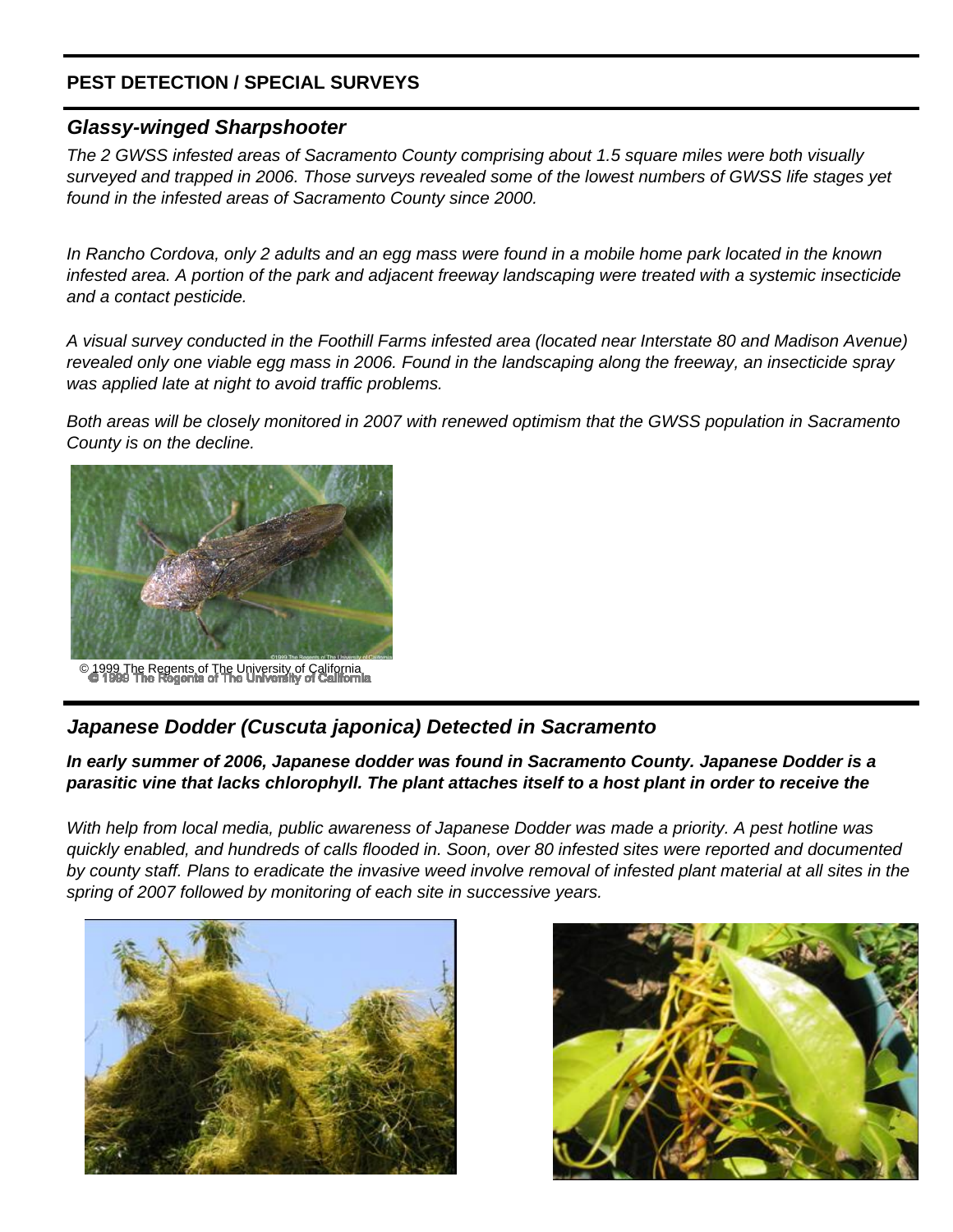#### **PEST DETECTION / SPECIAL SURVEYS**

#### *Glassy-winged Sharpshooter*

*The 2 GWSS infested areas of Sacramento County comprising about 1.5 square miles were both visually surveyed and trapped in 2006. Those surveys revealed some of the lowest numbers of GWSS life stages yet found in the infested areas of Sacramento County since 2000.*

*In Rancho Cordova, only 2 adults and an egg mass were found in a mobile home park located in the known infested area. A portion of the park and adjacent freeway landscaping were treated with a systemic insecticide and a contact pesticide.* 

*A visual survey conducted in the Foothill Farms infested area (located near Interstate 80 and Madison Avenue) revealed only one viable egg mass in 2006. Found in the landscaping along the freeway, an insecticide spray was applied late at night to avoid traffic problems.*

*Both areas will be closely monitored in 2007 with renewed optimism that the GWSS population in Sacramento County is on the decline.*



99 The Regents of The University of California<br>1999 The Regents of The University of California

#### *Japanese Dodder (Cuscuta japonica) Detected in Sacramento*

*In early summer of 2006, Japanese dodder was found in Sacramento County. Japanese Dodder is a parasitic vine that lacks chlorophyll. The plant attaches itself to a host plant in order to receive the* 

*With help from local media, public awareness of Japanese Dodder was made a priority. A pest hotline was quickly enabled, and hundreds of calls flooded in. Soon, over 80 infested sites were reported and documented by county staff. Plans to eradicate the invasive weed involve removal of infested plant material at all sites in the spring of 2007 followed by monitoring of each site in successive years.*



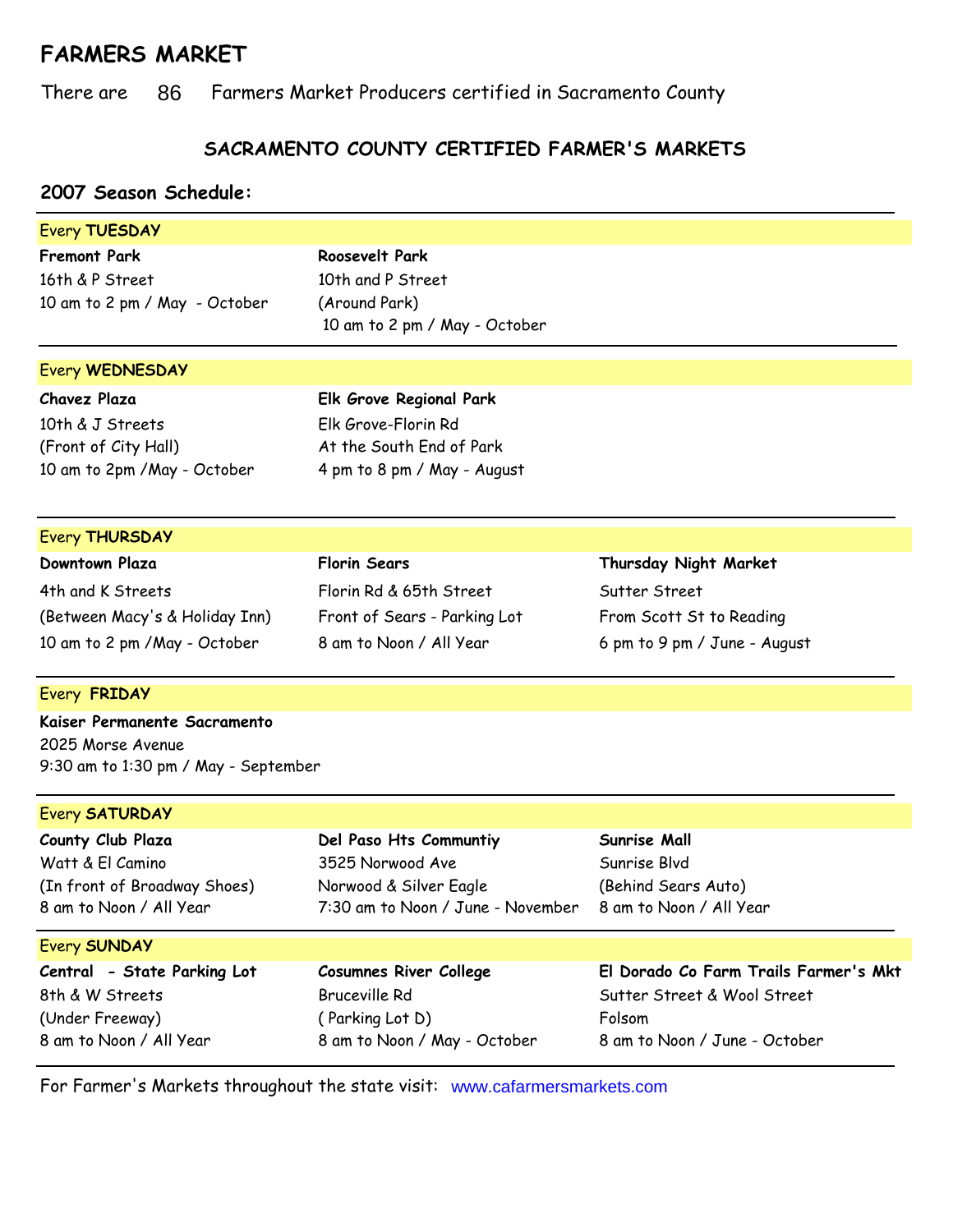## **FARMERS MARKET**

There are 86 Farmers Market Producers certified in Sacramento County

### **SACRAMENTO COUNTY CERTIFIED FARMER'S MARKETS**

#### **2007 Season Schedule:**

| Every TUESDAY                        |                                   |                                       |
|--------------------------------------|-----------------------------------|---------------------------------------|
| <b>Fremont Park</b>                  | Roosevelt Park                    |                                       |
| 16th & P Street                      | 10th and P Street                 |                                       |
| 10 am to 2 pm / May - October        | (Around Park)                     |                                       |
|                                      | 10 am to 2 pm / May - October     |                                       |
|                                      |                                   |                                       |
| <b>Every WEDNESDAY</b>               |                                   |                                       |
| <b>Chavez Plaza</b>                  | Elk Grove Regional Park           |                                       |
| 10th & J Streets                     | Elk Grove-Florin Rd               |                                       |
| (Front of City Hall)                 | At the South End of Park          |                                       |
| 10 am to 2pm / May - October         | 4 pm to 8 pm / May - August       |                                       |
|                                      |                                   |                                       |
| <b>Every THURSDAY</b>                |                                   |                                       |
| Downtown Plaza                       | <b>Florin Sears</b>               | Thursday Night Market                 |
| 4th and K Streets                    | Florin Rd & 65th Street           | Sutter Street                         |
| (Between Macy's & Holiday Inn)       | Front of Sears - Parking Lot      | From Scott St to Reading              |
| 10 am to 2 pm / May - October        | 8 am to Noon / All Year           | 6 pm to 9 pm / June - August          |
| Every FRIDAY                         |                                   |                                       |
| Kaiser Permanente Sacramento         |                                   |                                       |
| 2025 Morse Avenue                    |                                   |                                       |
| 9:30 am to 1:30 pm / May - September |                                   |                                       |
| <b>Every SATURDAY</b>                |                                   |                                       |
| County Club Plaza                    | Del Paso Hts Communtiy            | Sunrise Mall                          |
| Watt & El Camino                     | 3525 Norwood Ave                  | Sunrise Blvd                          |
| (In front of Broadway Shoes)         | Norwood & Silver Eagle            | (Behind Sears Auto)                   |
| 8 am to Noon / All Year              | 7:30 am to Noon / June - November | 8 am to Noon / All Year               |
| <b>Every SUNDAY</b>                  |                                   |                                       |
| Central - State Parking Lot          | <b>Cosumnes River College</b>     | El Dorado Co Farm Trails Farmer's Mkt |
| 8th & W Streets                      | <b>Bruceville Rd</b>              | Sutter Street & Wool Street           |
| (Under Freeway)                      | (Parking Lot D)                   | Folsom                                |
| 8 am to Noon / All Year              | 8 am to Noon / May - October      | 8 am to Noon / June - October         |
|                                      |                                   |                                       |

For Farmer's Markets throughout the state visit: www.cafarmersmarkets.com